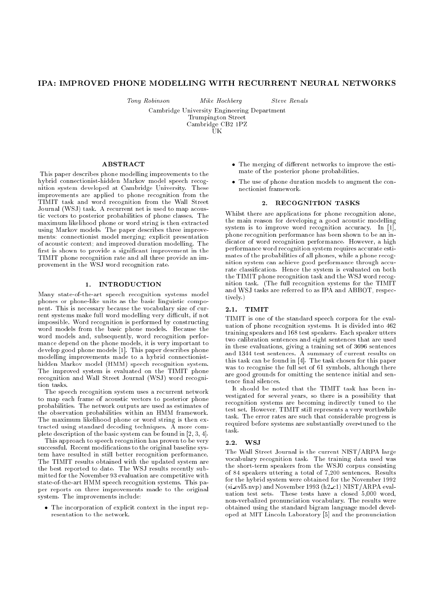# IPA: IMPROVED PHONE MODELLING WITH RECURRENT NEURAL NETWORKS

Tony Robinson Mike Hochberg Steve Renals

Cambridge University Engineering Department

Trumpington Street

Cambridge CB2 1PZ UK

ABSTRACT

This paper describes phone modelling improvements to the hybrid connectionist-hidden Markov model speech recognition system developed at Cambridge University. These improvements are applied to phone recognition from the TIMIT task and word recognition from the Wall Street Journal (WSJ) task. A recurrent net is used to map acoustic vectors to posterior probabilities of phone classes. The maximum likelihood phone or word string is then extracted using Markov models. The paper describes three improvements: connectionist model merging; explicit presentation of acoustic context; and improved duration modelling. The first is shown to provide a significant improvement in the TIMIT phone recognition rate and all three provide an improvement in the WSJ word recognition rate.

# 1. INTRODUCTION

Many state-of-the-art speech recognition systems model phones or phone-like units as the basic linguistic component. This is necessary because the vocabulary size of current systems make full word modelling very difficult, if not impossible. Word recognition is performed by constructing word models from the basic phone models. Because the word models and, subsequently, word recognition performance depend on the phone models, it is very important to develop good phone models [1]. This paper describes phone modelling improvements made to a hybrid connectionisthidden Markov model (HMM) speech recognition system. The improved system is evaluated on the TIMIT phone recognition and Wall Street Journal (WSJ) word recognition tasks

The speech recognition system uses a recurrent network to map each frame of acoustic vectors to posterior phone probabilities. The network outputs are used as estimates of the observation probabilities within an HMM framework. The maximum likelihood phone or word string is then extracted using standard decoding techniques. A more complete description of the basic system can be found in [2, 3, 4].

This approach to speech recognition has proven to be very successful. Recent modifications to the original baseline system have resulted in still better recognition performance. The TIMIT results obtained with the updated system are the best reported to date. The WSJ results recently submitted for the November 93 evaluation are competitive with state-of-the-art HMM speech recognition systems. This paper reports on three improvements made to the original system. The improvements include:

 The incorporation of explicit context in the input representation to the network.

- $\bullet$  The merging of different networks to improve the estimate of the posterior phone probabilities.
- The use of phone duration models to augment the connectionist framework

# 2. RECOGNITION TASKS

Whilst there are applications for phone recognition alone, the main reason for developing a good acoustic modelling system is to improve word recognition accuracy. In [1], phone recognition performance has been shown to be an indicator of word recognition performance. However, a high performance word recognition system requires accurate estimates of the probabilities of all phones, while a phone recognition system can achieve good performance through accurate classication. Hence the system is evaluated on both the TIMIT phone recognition task and the WSJ word recognition task. (The full recognition systems for the TIMIT and WSJ tasks are referred to as IPA and ABBOT, respectively.)

# 2.1. TIMIT

TIMIT is one of the standard speech corpora for the evaluation of phone recognition systems. It is divided into 462 training speakers and 168 test speakers. Each speaker utters two calibration sentences and eight sentences that are used in these evaluations, giving a training set of 3696 sentences and 1344 test sentences. A summary of current results on this task can be found in [4]. The task chosen for this paper was to recognise the full set of 61 symbols, although there are good grounds for omitting the sentence initial and sentence final silences.

It should be noted that the TIMIT task has been investigated for several years, so there is a possibility that recognition systems are becoming indirectly tuned to the test set. However, TIMIT still represents a very worthwhile task. The error rates are such that considerable progress is required before systems are substantially over-tuned to the task.

### 2.2. WSJ

The Wall Street Journal is the current NIST/ARPA large vocabulary recognition task. The training data used was the short-term speakers from the WSJ0 corpus consisting of 84 speakers uttering a total of 7,200 sentences. Results for the hybrid system were obtained for the November 1992 (si evl5.nvp) and November 1993 (h2 c1) NIST/ARPA evaluation test sets. These tests have a closed 5,000 word, non-verbalized pronunciation vocabulary. The results were obtained using the standard bigram language model developed at MIT Lincoln Laboratory [5] and the pronunciation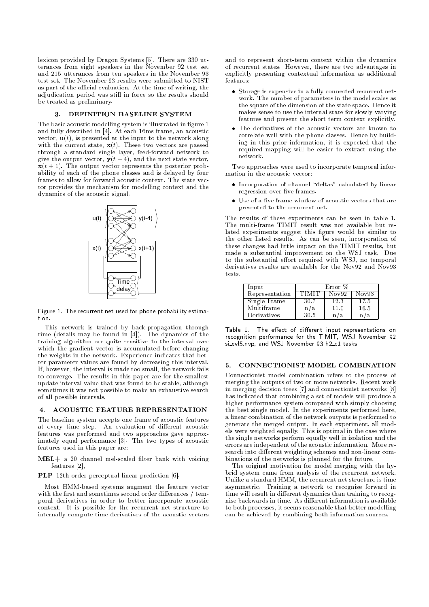lexicon provided by Dragon Systems [5]. There are 330 utterances from eight speakers in the November 92 test set and 215 utterances from ten speakers in the November 93 test set. The November 93 results were submitted to NIST as part of the official evaluation. At the time of writing, the adjudication period was still in force so the results should be treated as preliminary.

#### DEFINITION BASELINE SYSTEM  $\mathbf{R}$ .

The basic acoustic modelling system is illustrated in figure 1 and fully described in [4]. At each 16ms frame, an acoustic vector,  $\mathbf{u}(t)$ , is presented at the input to the network along with the current state,  $\mathbf{x}(t)$ . These two vectors are passed through a standard single layer, feed-forward network to give the output vector,  $y(t-4)$ , and the next state vector,  $\mathbf{x}(t+1)$ . The output vector represents the posterior probability of each of the phone classes and is delayed by four frames to allow for forward acoustic context. The state vector provides the mechanism for modelling context and the dynamics of the acoustic signal.



Figure 1. The recurrent net used for phone probability estimation.

This network is trained by back-propagation through time (details may be found in [4]). The dynamics of the training algorithm are quite sensitive to the interval over which the gradient vector is accumulated before changing the weights in the network. Experience indicates that better parameter values are found by decreasing this interval. If, however, the interval is made too small, the network fails to converge. The results in this paper are for the smallest update interval value that was found to be stable, although sometimes it was not possible to make an exhaustive search of all possible intervals.

### 4. ACOUSTIC FEATURE REPRESENTATION

The baseline system accepts one frame of acoustic features at every time step. An evaluation of different acoustic features was performed and two approaches gave approximately equal performance [3]. The two types of acoustic features used in this paper are:

 $MEL+$  a 20 channel mel-scaled filter bank with voicing features [2],

PLP 12th order perceptual linear prediction [6].

Most HMM-based systems augment the feature vector with the first and sometimes second order differences / temporal derivatives in order to better incorporate acoustic context. It is possible for the recurrent net structure to internally compute time derivatives of the acoustic vectors and to represent short-term context within the dynamics of recurrent states. However, there are two advantages in explicitly presenting contextual information as additional

- Storage is expensive in a fully connected recurrent network. The number of parameters in the model scales as the square of the dimension of the state space. Hence it makes sense to use the internal state for slowly varying features and present the short term context explicitly.
- The derivatives of the acoustic vectors are known to correlate well with the phone classes. Hence by building in this prior information, it is expected that the required mapping will be easier to extract using the network.

Two approaches were used to incorporate temporal information in the acoustic vector:

- $\bullet$  Incorporation of channel "deltas" calculated by linear regression over five frames.
- $\bullet$  Use of a five frame window of acoustic vectors that are presented to the recurrent net.

The results of these experiments can be seen in table 1. The multi-frame TIMIT result was not available but related experiments suggest this figure would be similar to the other listed results. As can be seen, incorporation of these changes had little impact on the TIMIT results, but made a substantial improvement on the WSJ task. Due to the substantial effort required with WSJ, no temporal derivatives results are available for the Nov92 and Nov93 tests.

| Input          | Error % |       |       |  |
|----------------|---------|-------|-------|--|
| Representation |         | Nov92 | Nov93 |  |
| Single Frame   | 30.7    | 12.3  | 17.5  |  |
| Multiframe     | n/a     | 11.0  | 16.5  |  |
| Derivatives    | 30.5    |       |       |  |

Table 1. The effect of different input representations on recognition performance for the TIMIT, WSJ November <sup>92</sup> si evl5.nvp, and WSJ November <sup>93</sup> h2 c1 tasks.

#### 5. CONNECTIONIST MODEL COMBINATION 5.

Connectionist model combination refers to the process of merging the outputs of two or more networks. Recent work in merging decision trees [7] and connectionist networks [8] has indicated that combining a set of models will produce a higher performance system compared with simply choosing the best single model. In the experiments performed here, a linear combination of the network outputs is performed to generate the merged output. In each experiment, all models were weighted equally. This is optimal in the case where the single networks perform equally well in isolation and the errors are independent of the acoustic information. More research into different weighting schemes and non-linear combinations of the networks is planned for the future.

The original motivation for model merging with the hybrid system came from analysis of the recurrent network. Unlike a standard HMM, the recurrent net structure is time asymmetric. Training a network to recognise forward in time will result in different dynamics than training to recognise backwards in time. As different information is available to both processes, it seems reasonable that better modelling can be achieved by combining both information sources.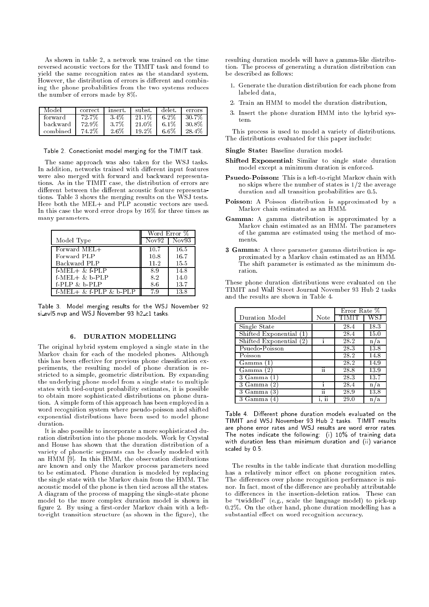As shown in table 2, a network was trained on the time reversed acoustic vectors for the TIMIT task and found to yield the same recognition rates as the standard system. However, the distribution of errors is different and combining the phone probabilities from the two systems reduces the number of errors made by 8%.

| l Model  | correct | insert . | subst. | delet.  | errors |
|----------|---------|----------|--------|---------|--------|
| forward  | 72.7%   | 3.4%     | 21.1%  | 6.2%    | -30.7% |
| backward | 72.9%   | -3.7%    | 21.0%  | $6.1\%$ | -30.8% |
| combined | 74.2%   | 2.6%     | 19.2%  | 6.6%    | 28.4%  |

Table 2. Conectionist model merging for the TIMIT task.

The same approach was also taken for the WSJ tasks. In addition, networks trained with different input features were also merged with forward and backward representations. As in the TIMIT case, the distribution of errors are different between the different acoustic feature representations. Table 3 shows the merging results on the WSJ tests. Here both the MEL+ and PLP acoustic vectors are used. In this case the word error drops by 16% for three times as many parameters.

|                          | Word Error % |                      |  |
|--------------------------|--------------|----------------------|--|
| Model Type               | Nov92        | $\bar{\text{Nov93}}$ |  |
| Forward MEL+             | 10.7         | 16.5                 |  |
| Forward PLP              | 10.8         | 16.7                 |  |
| Backward PLP             | 11.2         | 15.5                 |  |
| $f$ -MEL $+$ & $f$ -PLP  | 8.9          | 14.8                 |  |
| $f-MEL+&b-PLP$           | 8.2          | 14.0                 |  |
| $f$ -PLP $\& b$ -PLP     | 8.6          | 13.7                 |  |
| $f-MEL+ & f-PLP & b-PLP$ | 79           | 13.8                 |  |

Table 3. Model merging results for the WSJ November <sup>92</sup> si\_evl5 nvp and WSJ November 93 h2\_c1 tasks.

## 6. DURATION MODELLING

The original hybrid system employed a single state in the Markov chain for each of the modeled phones. Although this has been effective for previous phone classification experiments, the resulting model of phone duration is restricted to a simple, geometric distribution. By expanding the underlying phone model from a single state to multiple states with tied-output probability estimates, it is possible to obtain more sophisticated distributions on phone duration. A simple form of this approach has been employed in a word recognition system where pseudo-poisson and shifted exponential distributions have been used to model phone duration.

It is also possible to incorporate a more sophisticated duration distribution into the phone models. Work by Crystal and House has shown that the duration distribution of a variety of phonetic segments can be closely modeled with an HMM [9]. In this HMM, the observation distributions are known and only the Markov process parameters need to be estimated. Phone duration is modeled by replacing the single state with the Markov chain from the HMM. The acoustic model of the phone is then tied across all the states. A diagram of the process of mapping the single-state phone model to the more complex duration model is shown in figure 2. By using a first-order Markov chain with a leftto-right transition structure (as shown in the figure), the resulting duration models will have a gamma-like distribution. The process of generating a duration distribution can be described as follows:

- 1. Generate the duration distribution for each phone from labeled data,
- 2. Train an HMM to model the duration distribution,
- 3. Insert the phone duration HMM into the hybrid system

This process is used to model a variety of distributions. The distributions evaluated for this paper include:

Single State: Baseline duration model.

- Shifted Exponential: Similar to single state duration model except a minimum duration is enforced.
- Psuedo-Poisson: This is a left-to-right Markov chain with no skips where the number of states is 1/2 the average duration and all transition probabilities are 0.5.
- Poisson: A Poisson distribution is approximated by a Markov chain estimated as an HMM.
- Gamma: A gamma distribution is approximated by a Markov chain estimated as an HMM. The parameters of the gamma are estimated using the method of moments.
- 3 Gamma: A three parameter gamma distribution is approximated by a Markov chain estimated as an HMM. The shift parameter is estimated as the minimum duration.

These phone duration distributions were evaluated on the TIMIT and Wall Street Journal November 93 Hub 2 tasks and the results are shown in Table 4.

|                           |      | Error Rate $%$ |                   |
|---------------------------|------|----------------|-------------------|
| Duration Model            | Note | TIMIT          | WS.               |
| Single State              |      | 28.4           | 18.3              |
| Shifted Exponential       |      | 28.4           | 15.0              |
| Shifted Exponential $(2)$ |      | 28.2           | n/a               |
| Psuedo-Poisson            |      | 28.3           | 13.8              |
| Poisson                   |      | 28.2           | 14.8              |
| Gamma (1                  |      | 28.2           | 14.9              |
| Gamma (2)                 | ii   | 28.8           | 13.9              |
| $\overline{3}$ Gamma      |      | 28.3           | 13.7              |
| 3 Gamma<br>$2^{\circ}$    |      | 28.4           | n/a               |
| 3 Gamma<br>3              | ïi   | 28.9           | $\overline{13.8}$ |
| 3 Gamma                   |      | 29.0           | ΄a<br>n           |

Table 4. Different phone duration models evaluated on the TIMIT and WSJ November <sup>93</sup> Hub <sup>2</sup> tasks. TIMIT results are phone error rates and WSJ results are word error rates. The notes indicate the following: (i) 10% of training data with duration less than minimum duration and (ii) variance scaled by 0.5.

The results in the table indicate that duration modelling has a relatively minor effect on phone recognition rates. The differences over phone recognition performance is minor. In fact, most of the difference are probably attributable to differences in the insertion-deletion ratios. These can be "twiddled" (e.g., scale the language model) to pick-up 0.2%. On the other hand, phone duration modelling has a substantial effect on word recognition accuracy.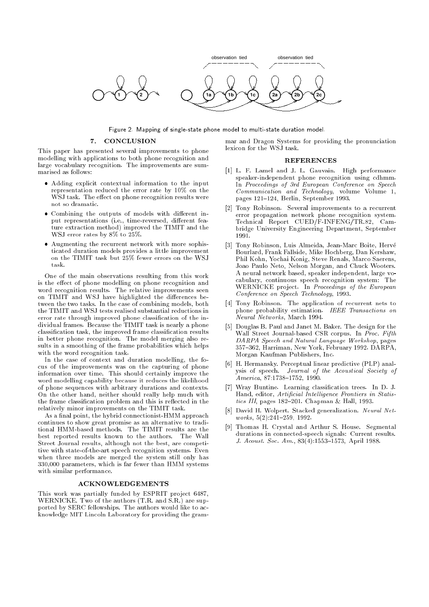

Figure 2. Mapping of single-state phone model to multi-state duration model.

# 7. CONCLUSION

This paper has presented several improvements to phone modelling with applications to both phone recognition and large vocabulary recognition. The improvements are summarised as follows:

- Adding explicit contextual information to the input representation reduced the error rate by 10% on the WSJ task. The effect on phone recognition results were not so dramatic.
- Combining the outputs of models with different input representations (i.e., time-reversed, different feature extraction method) improved the TIMIT and the WSJ error rates by 8% to 25%.
- Augmenting the recurrent network with more sophisticated duration models provides a little improvement on the TIMIT task but 25% fewer errors on the WSJ task.

One of the main observations resulting from this work is the effect of phone modelling on phone recognition and word recognition results. The relative improvements seen on TIMIT and WSJ have highlighted the differences between the two tasks. In the case of combining models, both the TIMIT and WSJ tests realised substantial reductions in error rate through improved phone classication of the individual frames. Because the TIMIT task is nearly a phone classication task, the improved frame classication results in better phone recognition. The model merging also results in a smoothing of the frame probabilities which helps with the word recognition task.

In the case of context and duration modelling, the focus of the improvements was on the capturing of phone information over time. This should certainly improve the word modelling capability because it reduces the likelihood of phone sequences with arbitrary durations and contexts. On the other hand, neither should really help much with the frame classification problem and this is reflected in the relatively minor improvements on the TIMIT task.

As a final point, the hybrid connectionist-HMM approach continues to show great promise as an alternative to traditional HMM-based methods. The TIMIT results are the best reported results known to the authors. The Wall Street Journal results, although not the best, are competitive with state-of-the-art speech recognition systems. Even when three models are merged the system still only has 330,000 parameters, which is far fewer than HMM systems with similar performance.

# ACKNOWLEDGEMENTS

This work was partially funded by ESPRIT project 6487, WERNICKE. Two of the authors (T.R. and S.R.) are supported by SERC fellowships. The authors would like to acknowledge MIT Lincoln Laboratory for providing the grammar and Dragon Systems for providing the pronunciation

# REFERENCES

- [1] L. F. Lamel and J. L. Gauvain. High performance speaker-independent phone recognition using cdhmm. In Proceedings of 3rd European Conference on Speech Communication and Technology, volume Volume 1, pages 121-124, Berlin, September 1993.
- [2] Tony Robinson. Several improvements to a recurrent error propagation network phone recognition system. Technical Report CUED/F-INFENG/TR.82, Cambridge University Engineering Department, September 1991
- [3] Tony Robinson, Luis Almeida, Jean-Marc Boite, Herve Bourlard, Frank Fallside, Mike Hochberg, Dan Kershaw, Phil Kohn, Yochai Konig, Steve Renals, Marco Saerens, Joao Paulo Neto, Nelson Morgan, and Chuck Wooters. A neural network based, speaker independent, large vocabulary, continuous speech recognition system: The WERNICKE project. In Proceedings of the European Conference on Speech Technology, 1993.
- [4] Tony Robinson. The application of recurrent nets to phone probability estimation. IEEE Transactions on Neural Networks, March 1994.
- [5] Douglas B. Paul and Janet M. Baker. The design for the Wall Street Journal-based CSR corpus. In Proc. Fifth DARPA Speech and Natural Language Workshop, pages 357-362, Harriman, New York, February 1992. DARPA, Morgan Kaufman Publishers, Inc.
- [6] H. Hermansky. Perceptual linear predictive (PLP) analysis of speech. Journal of the Acoustical Society of America, 87:1738-1752, 1990.
- [7] Wray Buntine. Learning classication trees. In D. J. Hand, editor, Artificial Intelligence Frontiers in Statistics III, pages 182-201. Chapman & Hall, 1993.
- [8] David H. Wolpert. Stacked generalization. Neural Net $works, 5(2):241-259, 1992.$
- [9] Thomas H. Crystal and Arthur S. House. Segmental durations in connected-speech signals: Current results. J. Acoust. Soc. Am., 83(4):1553-1573, April 1988.